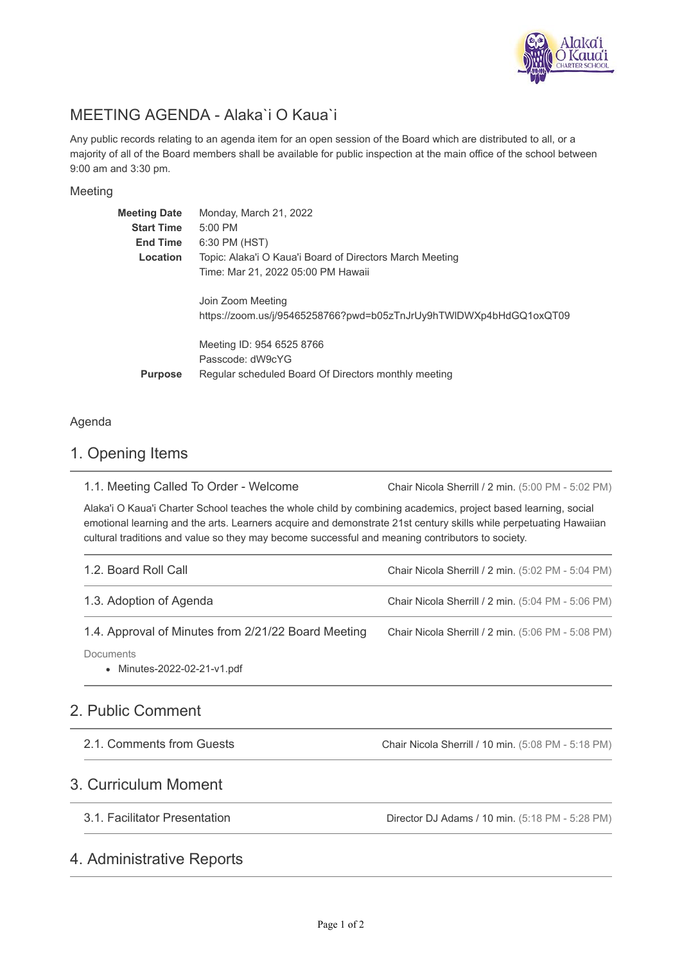

# MEETING AGENDA - Alaka`i O Kaua`i

Any public records relating to an agenda item for an open session of the Board which are distributed to all, or a majority of all of the Board members shall be available for public inspection at the main office of the school between 9:00 am and 3:30 pm.

#### Meeting

| <b>Meeting Date</b> | Monday, March 21, 2022                                                                  |
|---------------------|-----------------------------------------------------------------------------------------|
| <b>Start Time</b>   | $5:00$ PM                                                                               |
| <b>End Time</b>     | 6:30 PM (HST)                                                                           |
| Location            | Topic: Alaka'i O Kaua'i Board of Directors March Meeting                                |
|                     | Time: Mar 21, 2022 05:00 PM Hawaii                                                      |
|                     | Join Zoom Meeting<br>https://zoom.us/j/95465258766?pwd=b05zTnJrUy9hTWIDWXp4bHdGQ1oxQT09 |
|                     | Meeting ID: 954 6525 8766<br>Passcode: dW9cYG                                           |
| <b>Purpose</b>      | Regular scheduled Board Of Directors monthly meeting                                    |

#### Agenda

### 1. Opening Items

Chair Nicola Sherrill / 2 min. (5:00 PM - 5:02 PM) 1.1. Meeting Called To Order - Welcome

Alaka'i O Kaua'i Charter School teaches the whole child by combining academics, project based learning, social emotional learning and the arts. Learners acquire and demonstrate 21st century skills while perpetuating Hawaiian cultural traditions and value so they may become successful and meaning contributors to society.

| 1.2. Board Roll Call                                | Chair Nicola Sherrill / 2 min. (5:02 PM - 5:04 PM) |
|-----------------------------------------------------|----------------------------------------------------|
| 1.3. Adoption of Agenda                             | Chair Nicola Sherrill / 2 min. (5:04 PM - 5:06 PM) |
| 1.4. Approval of Minutes from 2/21/22 Board Meeting | Chair Nicola Sherrill / 2 min. (5:06 PM - 5:08 PM) |
| Documents<br>• Minutes-2022-02-21-v1.pdf            |                                                    |

### 2. Public Comment

| 2.1. Comments from Guests | Chair Nicola Sherrill / 10 min. (5:08 PM - 5:18 PM) |
|---------------------------|-----------------------------------------------------|
|                           |                                                     |

### 3. Curriculum Moment

3.1. Facilitator Presentation

Director DJ Adams / 10 min. (5:18 PM - 5:28 PM)

### 4. Administrative Reports